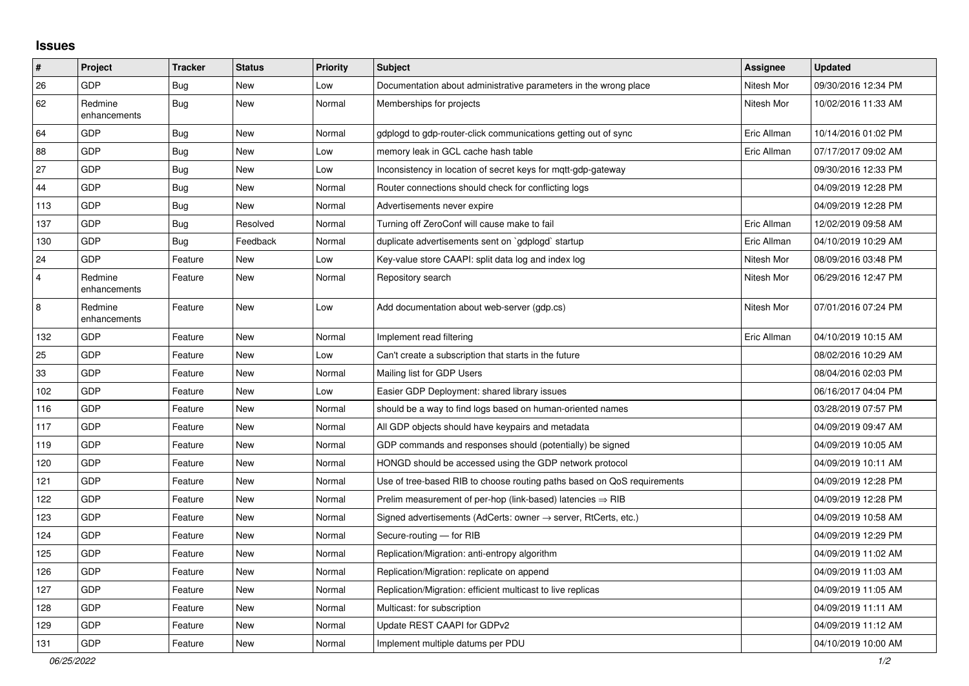## **Issues**

| #              | Project                 | <b>Tracker</b> | <b>Status</b> | <b>Priority</b> | <b>Subject</b>                                                             | <b>Assignee</b> | <b>Updated</b>      |
|----------------|-------------------------|----------------|---------------|-----------------|----------------------------------------------------------------------------|-----------------|---------------------|
| 26             | <b>GDP</b>              | Bug            | New           | Low             | Documentation about administrative parameters in the wrong place           | Nitesh Mor      | 09/30/2016 12:34 PM |
| 62             | Redmine<br>enhancements | <b>Bug</b>     | <b>New</b>    | Normal          | Memberships for projects                                                   | Nitesh Mor      | 10/02/2016 11:33 AM |
| 64             | GDP                     | <b>Bug</b>     | <b>New</b>    | Normal          | gdplogd to gdp-router-click communications getting out of sync             | Eric Allman     | 10/14/2016 01:02 PM |
| 88             | GDP                     | <b>Bug</b>     | <b>New</b>    | Low             | memory leak in GCL cache hash table                                        | Eric Allman     | 07/17/2017 09:02 AM |
| 27             | GDP                     | Bug            | <b>New</b>    | Low             | Inconsistency in location of secret keys for mgtt-gdp-gateway              |                 | 09/30/2016 12:33 PM |
| 44             | GDP                     | <b>Bug</b>     | <b>New</b>    | Normal          | Router connections should check for conflicting logs                       |                 | 04/09/2019 12:28 PM |
| 113            | GDP                     | Bug            | <b>New</b>    | Normal          | Advertisements never expire                                                |                 | 04/09/2019 12:28 PM |
| 137            | GDP                     | Bug            | Resolved      | Normal          | Turning off ZeroConf will cause make to fail                               | Eric Allman     | 12/02/2019 09:58 AM |
| 130            | GDP                     | Bug            | Feedback      | Normal          | duplicate advertisements sent on `gdplogd` startup                         | Eric Allman     | 04/10/2019 10:29 AM |
| 24             | <b>GDP</b>              | Feature        | New           | Low             | Key-value store CAAPI: split data log and index log                        | Nitesh Mor      | 08/09/2016 03:48 PM |
| $\overline{4}$ | Redmine<br>enhancements | Feature        | <b>New</b>    | Normal          | Repository search                                                          | Nitesh Mor      | 06/29/2016 12:47 PM |
| 8              | Redmine<br>enhancements | Feature        | New           | Low             | Add documentation about web-server (gdp.cs)                                | Nitesh Mor      | 07/01/2016 07:24 PM |
| 132            | GDP                     | Feature        | <b>New</b>    | Normal          | Implement read filtering                                                   | Eric Allman     | 04/10/2019 10:15 AM |
| 25             | GDP                     | Feature        | New           | Low             | Can't create a subscription that starts in the future                      |                 | 08/02/2016 10:29 AM |
| 33             | GDP                     | Feature        | <b>New</b>    | Normal          | Mailing list for GDP Users                                                 |                 | 08/04/2016 02:03 PM |
| 102            | GDP                     | Feature        | <b>New</b>    | Low             | Easier GDP Deployment: shared library issues                               |                 | 06/16/2017 04:04 PM |
| 116            | GDP                     | Feature        | <b>New</b>    | Normal          | should be a way to find logs based on human-oriented names                 |                 | 03/28/2019 07:57 PM |
| 117            | GDP                     | Feature        | <b>New</b>    | Normal          | All GDP objects should have keypairs and metadata                          |                 | 04/09/2019 09:47 AM |
| 119            | GDP                     | Feature        | New           | Normal          | GDP commands and responses should (potentially) be signed                  |                 | 04/09/2019 10:05 AM |
| 120            | GDP                     | Feature        | New           | Normal          | HONGD should be accessed using the GDP network protocol                    |                 | 04/09/2019 10:11 AM |
| 121            | GDP                     | Feature        | <b>New</b>    | Normal          | Use of tree-based RIB to choose routing paths based on QoS requirements    |                 | 04/09/2019 12:28 PM |
| 122            | GDP                     | Feature        | <b>New</b>    | Normal          | Prelim measurement of per-hop (link-based) latencies $\Rightarrow$ RIB     |                 | 04/09/2019 12:28 PM |
| 123            | GDP                     | Feature        | <b>New</b>    | Normal          | Signed advertisements (AdCerts: owner $\rightarrow$ server, RtCerts, etc.) |                 | 04/09/2019 10:58 AM |
| 124            | GDP                     | Feature        | New           | Normal          | Secure-routing - for RIB                                                   |                 | 04/09/2019 12:29 PM |
| 125            | GDP                     | Feature        | <b>New</b>    | Normal          | Replication/Migration: anti-entropy algorithm                              |                 | 04/09/2019 11:02 AM |
| 126            | GDP                     | Feature        | <b>New</b>    | Normal          | Replication/Migration: replicate on append                                 |                 | 04/09/2019 11:03 AM |
| 127            | GDP                     | Feature        | New           | Normal          | Replication/Migration: efficient multicast to live replicas                |                 | 04/09/2019 11:05 AM |
| 128            | GDP                     | Feature        | New           | Normal          | Multicast: for subscription                                                |                 | 04/09/2019 11:11 AM |
| 129            | <b>GDP</b>              | Feature        | <b>New</b>    | Normal          | Update REST CAAPI for GDPv2                                                |                 | 04/09/2019 11:12 AM |
| 131            | GDP                     | Feature        | <b>New</b>    | Normal          | Implement multiple datums per PDU                                          |                 | 04/10/2019 10:00 AM |